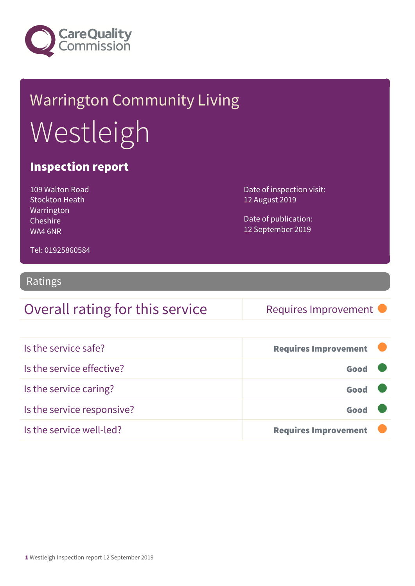

# Warrington Community Living Westleigh

#### Inspection report

109 Walton Road Stockton Heath Warrington Cheshire WA4 6NR

Date of inspection visit: 12 August 2019

Date of publication: 12 September 2019

Tel: 01925860584

#### Ratings

#### Overall rating for this service Requires Improvement

| Is the service safe?       | <b>Requires Improvement</b> |  |
|----------------------------|-----------------------------|--|
| Is the service effective?  | Good                        |  |
| Is the service caring?     | Good                        |  |
| Is the service responsive? | Good                        |  |
| Is the service well-led?   | <b>Requires Improvement</b> |  |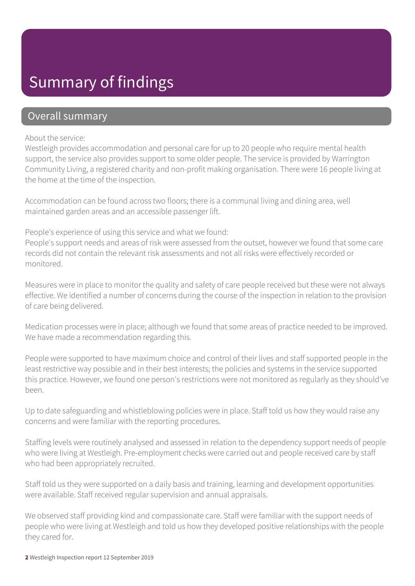### Summary of findings

#### Overall summary

#### About the service:

Westleigh provides accommodation and personal care for up to 20 people who require mental health support, the service also provides support to some older people. The service is provided by Warrington Community Living, a registered charity and non-profit making organisation. There were 16 people living at the home at the time of the inspection.

Accommodation can be found across two floors; there is a communal living and dining area, well maintained garden areas and an accessible passenger lift.

People's experience of using this service and what we found:

People's support needs and areas of risk were assessed from the outset, however we found that some care records did not contain the relevant risk assessments and not all risks were effectively recorded or monitored.

Measures were in place to monitor the quality and safety of care people received but these were not always effective. We identified a number of concerns during the course of the inspection in relation to the provision of care being delivered.

Medication processes were in place; although we found that some areas of practice needed to be improved. We have made a recommendation regarding this.

People were supported to have maximum choice and control of their lives and staff supported people in the least restrictive way possible and in their best interests; the policies and systems in the service supported this practice. However, we found one person's restrictions were not monitored as regularly as they should've been.

Up to date safeguarding and whistleblowing policies were in place. Staff told us how they would raise any concerns and were familiar with the reporting procedures.

Staffing levels were routinely analysed and assessed in relation to the dependency support needs of people who were living at Westleigh. Pre-employment checks were carried out and people received care by staff who had been appropriately recruited.

Staff told us they were supported on a daily basis and training, learning and development opportunities were available. Staff received regular supervision and annual appraisals.

We observed staff providing kind and compassionate care. Staff were familiar with the support needs of people who were living at Westleigh and told us how they developed positive relationships with the people they cared for.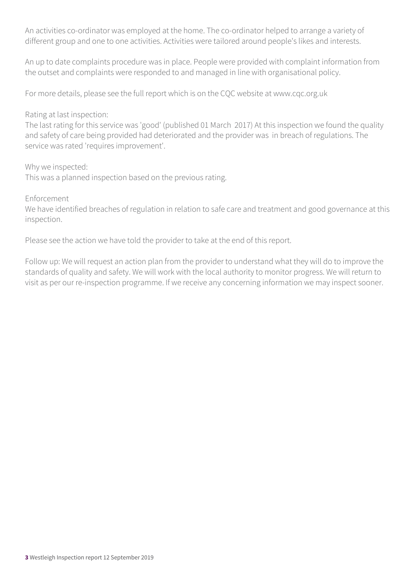An activities co-ordinator was employed at the home. The co-ordinator helped to arrange a variety of different group and one to one activities. Activities were tailored around people's likes and interests.

An up to date complaints procedure was in place. People were provided with complaint information from the outset and complaints were responded to and managed in line with organisational policy.

For more details, please see the full report which is on the CQC website at www.cqc.org.uk

#### Rating at last inspection:

The last rating for this service was 'good' (published 01 March 2017) At this inspection we found the quality and safety of care being provided had deteriorated and the provider was in breach of regulations. The service was rated 'requires improvement'.

Why we inspected:

This was a planned inspection based on the previous rating.

Enforcement

We have identified breaches of regulation in relation to safe care and treatment and good governance at this inspection.

Please see the action we have told the provider to take at the end of this report.

Follow up: We will request an action plan from the provider to understand what they will do to improve the standards of quality and safety. We will work with the local authority to monitor progress. We will return to visit as per our re-inspection programme. If we receive any concerning information we may inspect sooner.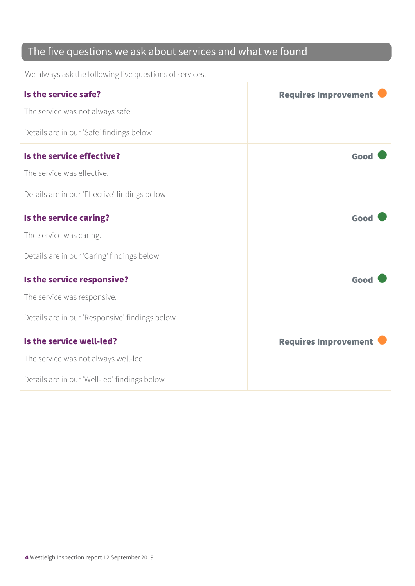#### The five questions we ask about services and what we found

We always ask the following five questions of services.

| Is the service safe?                           | <b>Requires Improvement</b> |
|------------------------------------------------|-----------------------------|
| The service was not always safe.               |                             |
| Details are in our 'Safe' findings below       |                             |
| Is the service effective?                      | Good                        |
| The service was effective.                     |                             |
| Details are in our 'Effective' findings below  |                             |
| Is the service caring?                         | Good                        |
| The service was caring.                        |                             |
| Details are in our 'Caring' findings below     |                             |
| Is the service responsive?                     | Good                        |
| The service was responsive.                    |                             |
| Details are in our 'Responsive' findings below |                             |
| Is the service well-led?                       | <b>Requires Improvement</b> |
| The service was not always well-led.           |                             |
| Details are in our 'Well-led' findings below   |                             |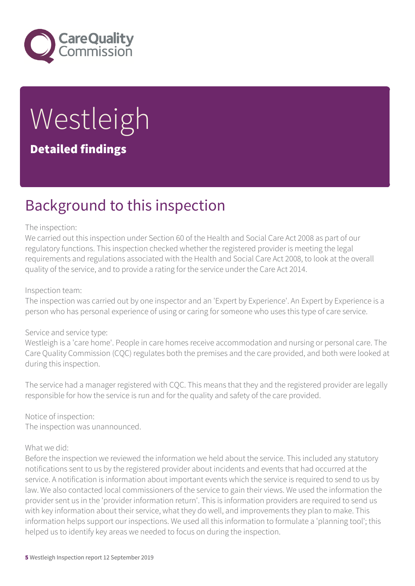

# Westleigh Detailed findings

### Background to this inspection

#### The inspection:

We carried out this inspection under Section 60 of the Health and Social Care Act 2008 as part of our regulatory functions. This inspection checked whether the registered provider is meeting the legal requirements and regulations associated with the Health and Social Care Act 2008, to look at the overall quality of the service, and to provide a rating for the service under the Care Act 2014.

#### Inspection team:

The inspection was carried out by one inspector and an 'Expert by Experience'. An Expert by Experience is a person who has personal experience of using or caring for someone who uses this type of care service.

#### Service and service type:

Westleigh is a 'care home'. People in care homes receive accommodation and nursing or personal care. The Care Quality Commission (CQC) regulates both the premises and the care provided, and both were looked at during this inspection.

The service had a manager registered with CQC. This means that they and the registered provider are legally responsible for how the service is run and for the quality and safety of the care provided.

Notice of inspection: The inspection was unannounced.

#### What we did:

Before the inspection we reviewed the information we held about the service. This included any statutory notifications sent to us by the registered provider about incidents and events that had occurred at the service. A notification is information about important events which the service is required to send to us by law. We also contacted local commissioners of the service to gain their views. We used the information the provider sent us in the 'provider information return'. This is information providers are required to send us with key information about their service, what they do well, and improvements they plan to make. This information helps support our inspections. We used all this information to formulate a 'planning tool'; this helped us to identify key areas we needed to focus on during the inspection.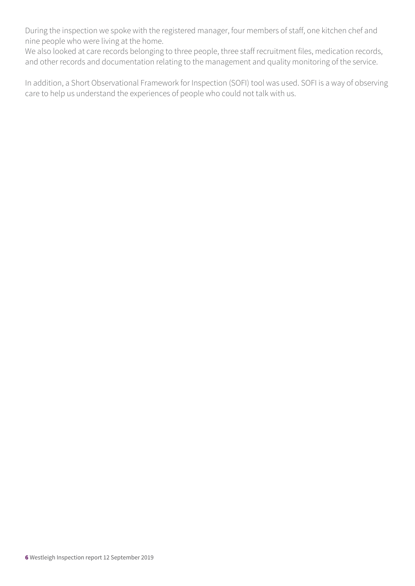During the inspection we spoke with the registered manager, four members of staff, one kitchen chef and nine people who were living at the home.

We also looked at care records belonging to three people, three staff recruitment files, medication records, and other records and documentation relating to the management and quality monitoring of the service.

In addition, a Short Observational Framework for Inspection (SOFI) tool was used. SOFI is a way of observing care to help us understand the experiences of people who could not talk with us.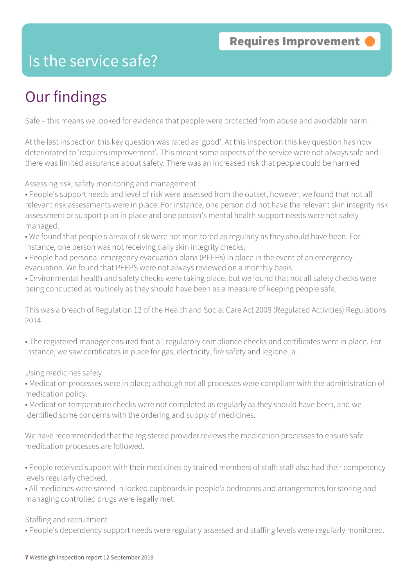### Is the service safe?

## Our findings

Safe – this means we looked for evidence that people were protected from abuse and avoidable harm.

At the last inspection this key question was rated as 'good'. At this inspection this key question has now deteriorated to 'requires improvement'. This meant some aspects of the service were not always safe and there was limited assurance about safety. There was an increased risk that people could be harmed

Assessing risk, safety monitoring and management

- People's support needs and level of risk were assessed from the outset, however, we found that not all relevant risk assessments were in place. For instance, one person did not have the relevant skin integrity risk assessment or support plan in place and one person's mental health support needs were not safely managed.
- We found that people's areas of risk were not monitored as regularly as they should have been. For instance, one person was not receiving daily skin integrity checks.
- People had personal emergency evacuation plans (PEEPs) in place in the event of an emergency evacuation. We found that PEEPS were not always reviewed on a monthly basis.
- Environmental health and safety checks were taking place, but we found that not all safety checks were being conducted as routinely as they should have been as a measure of keeping people safe.

This was a breach of Regulation 12 of the Health and Social Care Act 2008 (Regulated Activities) Regulations 2014

• The registered manager ensured that all regulatory compliance checks and certificates were in place. For instance, we saw certificates in place for gas, electricity, fire safety and legionella.

Using medicines safely

- Medication processes were in place; although not all processes were compliant with the administration of medication policy.
- Medication temperature checks were not completed as regularly as they should have been, and we identified some concerns with the ordering and supply of medicines.

We have recommended that the registered provider reviews the medication processes to ensure safe medication processes are followed.

• People received support with their medicines by trained members of staff; staff also had their competency levels regularly checked.

• All medicines were stored in locked cupboards in people's bedrooms and arrangements for storing and managing controlled drugs were legally met.

Staffing and recruitment

• People's dependency support needs were regularly assessed and staffing levels were regularly monitored.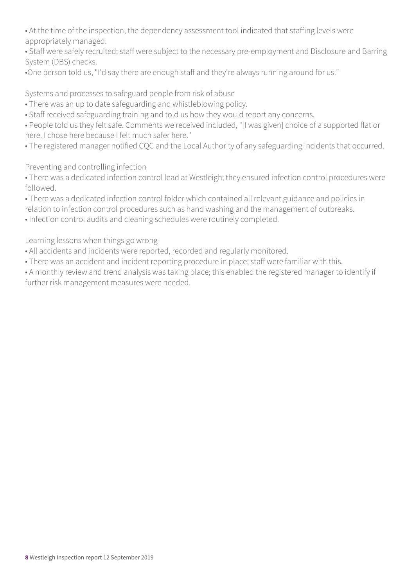• At the time of the inspection, the dependency assessment tool indicated that staffing levels were appropriately managed.

• Staff were safely recruited; staff were subject to the necessary pre-employment and Disclosure and Barring System (DBS) checks.

•One person told us, "I'd say there are enough staff and they're always running around for us."

Systems and processes to safeguard people from risk of abuse

- There was an up to date safeguarding and whistleblowing policy.
- Staff received safeguarding training and told us how they would report any concerns.

• People told us they felt safe. Comments we received included, "[I was given] choice of a supported flat or here. I chose here because I felt much safer here."

• The registered manager notified CQC and the Local Authority of any safeguarding incidents that occurred.

Preventing and controlling infection

• There was a dedicated infection control lead at Westleigh; they ensured infection control procedures were followed.

• There was a dedicated infection control folder which contained all relevant guidance and policies in relation to infection control procedures such as hand washing and the management of outbreaks. • Infection control audits and cleaning schedules were routinely completed.

Learning lessons when things go wrong

- All accidents and incidents were reported, recorded and regularly monitored.
- There was an accident and incident reporting procedure in place; staff were familiar with this.

• A monthly review and trend analysis was taking place; this enabled the registered manager to identify if further risk management measures were needed.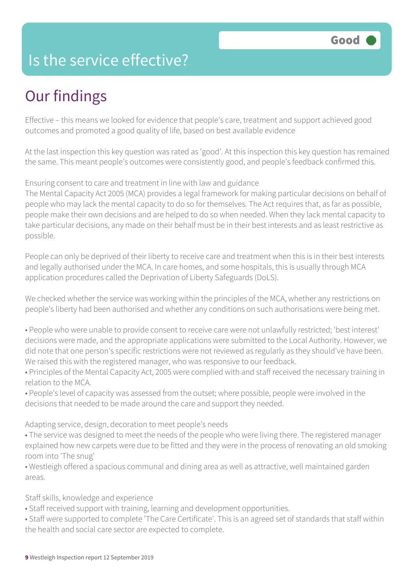### Is the service effective?

### Our findings

Effective – this means we looked for evidence that people's care, treatment and support achieved good outcomes and promoted a good quality of life, based on best available evidence

At the last inspection this key question was rated as 'good'. At this inspection this key question has remained the same. This meant people's outcomes were consistently good, and people's feedback confirmed this.

#### Ensuring consent to care and treatment in line with law and guidance

The Mental Capacity Act 2005 (MCA) provides a legal framework for making particular decisions on behalf of people who may lack the mental capacity to do so for themselves. The Act requires that, as far as possible, people make their own decisions and are helped to do so when needed. When they lack mental capacity to take particular decisions, any made on their behalf must be in their best interests and as least restrictive as possible.

People can only be deprived of their liberty to receive care and treatment when this is in their best interests and legally authorised under the MCA. In care homes, and some hospitals, this is usually through MCA application procedures called the Deprivation of Liberty Safeguards (DoLS).

We checked whether the service was working within the principles of the MCA, whether any restrictions on people's liberty had been authorised and whether any conditions on such authorisations were being met.

- People who were unable to provide consent to receive care were not unlawfully restricted; 'best interest' decisions were made, and the appropriate applications were submitted to the Local Authority. However, we did note that one person's specific restrictions were not reviewed as regularly as they should've have been. We raised this with the registered manager, who was responsive to our feedback.
- Principles of the Mental Capacity Act, 2005 were complied with and staff received the necessary training in relation to the MCA.
- People's level of capacity was assessed from the outset; where possible, people were involved in the decisions that needed to be made around the care and support they needed.

Adapting service, design, decoration to meet people's needs

- The service was designed to meet the needs of the people who were living there. The registered manager explained how new carpets were due to be fitted and they were in the process of renovating an old smoking room into 'The snug'
- Westleigh offered a spacious communal and dining area as well as attractive, well maintained garden areas.

Staff skills, knowledge and experience

- Staff received support with training, learning and development opportunities.
- Staff were supported to complete 'The Care Certificate'. This is an agreed set of standards that staff within the health and social care sector are expected to complete.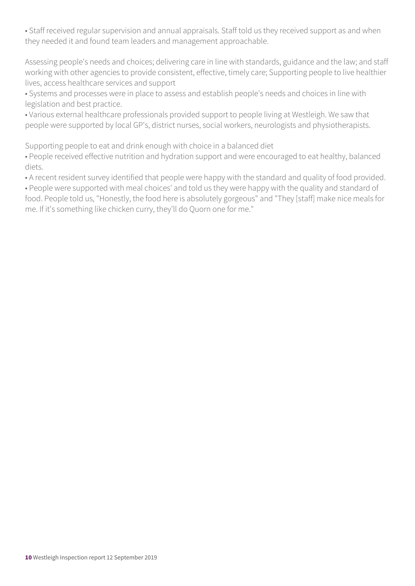• Staff received regular supervision and annual appraisals. Staff told us they received support as and when they needed it and found team leaders and management approachable.

Assessing people's needs and choices; delivering care in line with standards, guidance and the law; and staff working with other agencies to provide consistent, effective, timely care; Supporting people to live healthier lives, access healthcare services and support

• Systems and processes were in place to assess and establish people's needs and choices in line with legislation and best practice.

• Various external healthcare professionals provided support to people living at Westleigh. We saw that people were supported by local GP's, district nurses, social workers, neurologists and physiotherapists.

Supporting people to eat and drink enough with choice in a balanced diet

• People received effective nutrition and hydration support and were encouraged to eat healthy, balanced diets.

• A recent resident survey identified that people were happy with the standard and quality of food provided.

• People were supported with meal choices' and told us they were happy with the quality and standard of food. People told us, "Honestly, the food here is absolutely gorgeous" and "They [staff] make nice meals for me. If it's something like chicken curry, they'll do Quorn one for me."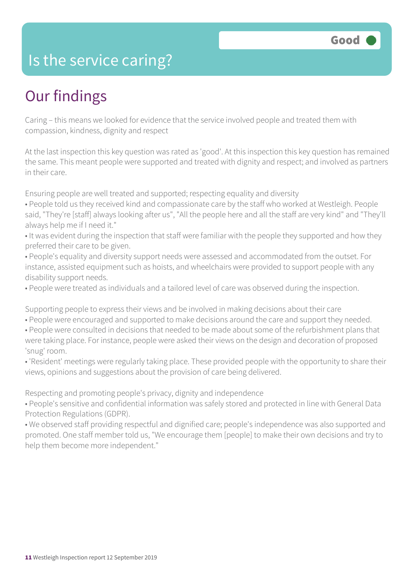### Is the service caring?

### Our findings

Caring – this means we looked for evidence that the service involved people and treated them with compassion, kindness, dignity and respect

At the last inspection this key question was rated as 'good'. At this inspection this key question has remained the same. This meant people were supported and treated with dignity and respect; and involved as partners in their care.

Ensuring people are well treated and supported; respecting equality and diversity

- People told us they received kind and compassionate care by the staff who worked at Westleigh. People said, "They're [staff] always looking after us", "All the people here and all the staff are very kind" and "They'll always help me if I need it."
- It was evident during the inspection that staff were familiar with the people they supported and how they preferred their care to be given.
- People's equality and diversity support needs were assessed and accommodated from the outset. For instance, assisted equipment such as hoists, and wheelchairs were provided to support people with any disability support needs.
- People were treated as individuals and a tailored level of care was observed during the inspection.

Supporting people to express their views and be involved in making decisions about their care

- People were encouraged and supported to make decisions around the care and support they needed.
- People were consulted in decisions that needed to be made about some of the refurbishment plans that were taking place. For instance, people were asked their views on the design and decoration of proposed 'snug' room.
- 'Resident' meetings were regularly taking place. These provided people with the opportunity to share their views, opinions and suggestions about the provision of care being delivered.

Respecting and promoting people's privacy, dignity and independence

• People's sensitive and confidential information was safely stored and protected in line with General Data Protection Regulations (GDPR).

• We observed staff providing respectful and dignified care; people's independence was also supported and promoted. One staff member told us, "We encourage them [people] to make their own decisions and try to help them become more independent."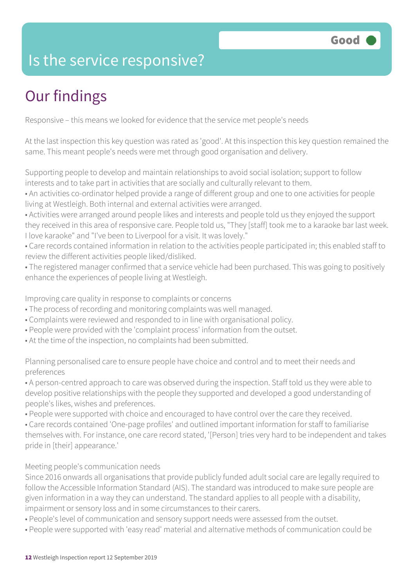### Is the service responsive?

# Our findings

Responsive – this means we looked for evidence that the service met people's needs

At the last inspection this key question was rated as 'good'. At this inspection this key question remained the same. This meant people's needs were met through good organisation and delivery.

Supporting people to develop and maintain relationships to avoid social isolation; support to follow interests and to take part in activities that are socially and culturally relevant to them.

• An activities co-ordinator helped provide a range of different group and one to one activities for people living at Westleigh. Both internal and external activities were arranged.

• Activities were arranged around people likes and interests and people told us they enjoyed the support they received in this area of responsive care. People told us, "They [staff] took me to a karaoke bar last week. I love karaoke" and "I've been to Liverpool for a visit. It was lovely."

• Care records contained information in relation to the activities people participated in; this enabled staff to review the different activities people liked/disliked.

• The registered manager confirmed that a service vehicle had been purchased. This was going to positively enhance the experiences of people living at Westleigh.

Improving care quality in response to complaints or concerns

- The process of recording and monitoring complaints was well managed.
- Complaints were reviewed and responded to in line with organisational policy.
- People were provided with the 'complaint process' information from the outset.
- At the time of the inspection, no complaints had been submitted.

Planning personalised care to ensure people have choice and control and to meet their needs and preferences

• A person-centred approach to care was observed during the inspection. Staff told us they were able to develop positive relationships with the people they supported and developed a good understanding of people's likes, wishes and preferences.

• People were supported with choice and encouraged to have control over the care they received.

• Care records contained 'One-page profiles' and outlined important information for staff to familiarise themselves with. For instance, one care record stated, '[Person] tries very hard to be independent and takes pride in [their] appearance.'

#### Meeting people's communication needs

Since 2016 onwards all organisations that provide publicly funded adult social care are legally required to follow the Accessible Information Standard (AIS). The standard was introduced to make sure people are given information in a way they can understand. The standard applies to all people with a disability, impairment or sensory loss and in some circumstances to their carers.

- People's level of communication and sensory support needs were assessed from the outset.
- People were supported with 'easy read' material and alternative methods of communication could be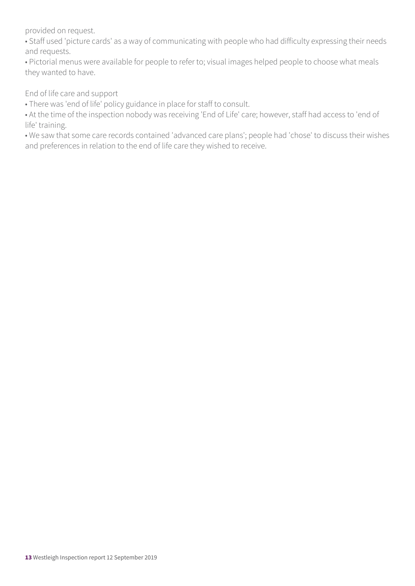provided on request.

• Staff used 'picture cards' as a way of communicating with people who had difficulty expressing their needs and requests.

• Pictorial menus were available for people to refer to; visual images helped people to choose what meals they wanted to have.

End of life care and support

• There was 'end of life' policy guidance in place for staff to consult.

• At the time of the inspection nobody was receiving 'End of Life' care; however, staff had access to 'end of life' training.

• We saw that some care records contained 'advanced care plans'; people had 'chose' to discuss their wishes and preferences in relation to the end of life care they wished to receive.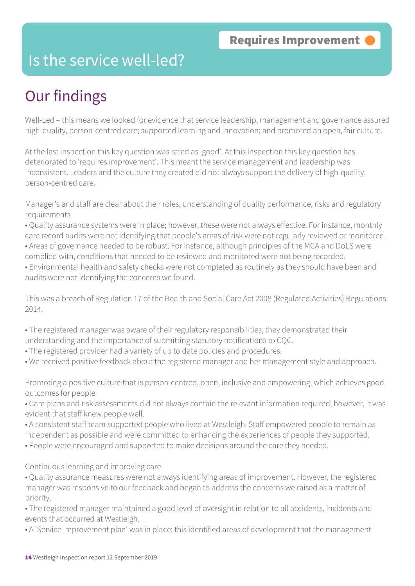### Is the service well-led?

## Our findings

Well-Led – this means we looked for evidence that service leadership, management and governance assured high-quality, person-centred care; supported learning and innovation; and promoted an open, fair culture.

At the last inspection this key question was rated as 'good'. At this inspection this key question has deteriorated to 'requires improvement'. This meant the service management and leadership was inconsistent. Leaders and the culture they created did not always support the delivery of high-quality, person-centred care.

Manager's and staff are clear about their roles, understanding of quality performance, risks and regulatory requirements

- Quality assurance systems were in place; however, these were not always effective. For instance, monthly care record audits were not identifying that people's areas of risk were not regularly reviewed or monitored.
- Areas of governance needed to be robust. For instance, although principles of the MCA and DoLS were complied with, conditions that needed to be reviewed and monitored were not being recorded.
- Environmental health and safety checks were not completed as routinely as they should have been and audits were not identifying the concerns we found.

This was a breach of Regulation 17 of the Health and Social Care Act 2008 (Regulated Activities) Regulations 2014.

- The registered manager was aware of their regulatory responsibilities; they demonstrated their
- understanding and the importance of submitting statutory notifications to CQC.
- The registered provider had a variety of up to date policies and procedures.
- We received positive feedback about the registered manager and her management style and approach.

Promoting a positive culture that is person-centred, open, inclusive and empowering, which achieves good outcomes for people

- Care plans and risk assessments did not always contain the relevant information required; however, it was evident that staff knew people well.
- A consistent staff team supported people who lived at Westleigh. Staff empowered people to remain as independent as possible and were committed to enhancing the experiences of people they supported.
- People were encouraged and supported to make decisions around the care they needed.

#### Continuous learning and improving care

• Quality assurance measures were not always identifying areas of improvement. However, the registered manager was responsive to our feedback and began to address the concerns we raised as a matter of priority.

• The registered manager maintained a good level of oversight in relation to all accidents, incidents and events that occurred at Westleigh.

• A 'Service Improvement plan' was in place; this identified areas of development that the management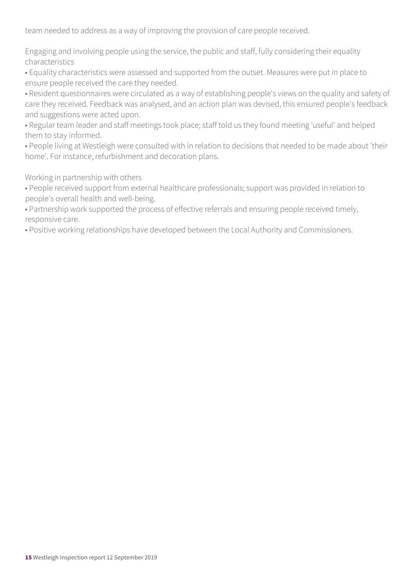team needed to address as a way of improving the provision of care people received.

Engaging and involving people using the service, the public and staff, fully considering their equality characteristics

• Equality characteristics were assessed and supported from the outset. Measures were put in place to ensure people received the care they needed.

• Resident questionnaires were circulated as a way of establishing people's views on the quality and safety of care they received. Feedback was analysed, and an action plan was devised, this ensured people's feedback and suggestions were acted upon.

• Regular team leader and staff meetings took place; staff told us they found meeting 'useful' and helped them to stay informed.

• People living at Westleigh were consulted with in relation to decisions that needed to be made about 'their home'. For instance, refurbishment and decoration plans.

Working in partnership with others

• People received support from external healthcare professionals; support was provided in relation to people's overall health and well-being.

• Partnership work supported the process of effective referrals and ensuring people received timely, responsive care.

• Positive working relationships have developed between the Local Authority and Commissioners.